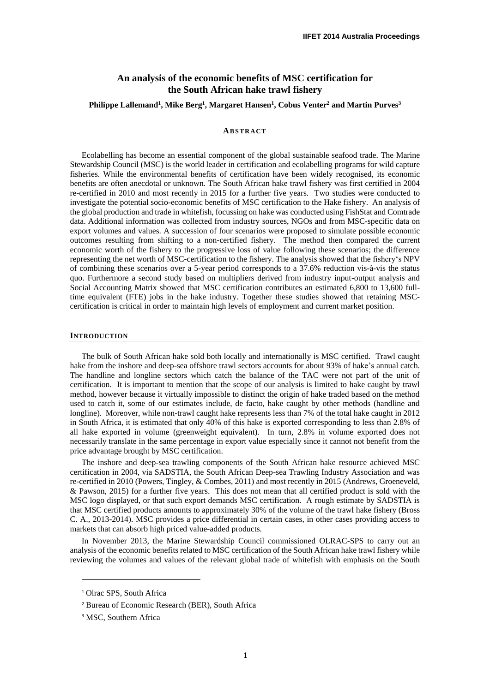# **An analysis of the economic benefits of MSC certification for the South African hake trawl fishery**

## **Philippe Lallemand<sup>1</sup> , Mike Berg<sup>1</sup> , Margaret Hansen<sup>1</sup> , Cobus Venter<sup>2</sup> and Martin Purves<sup>3</sup>**

#### **ABS T R A CT**

Ecolabelling has become an essential component of the global sustainable seafood trade. The Marine Stewardship Council (MSC) is the world leader in certification and ecolabelling programs for wild capture fisheries. While the environmental benefits of certification have been widely recognised, its economic benefits are often anecdotal or unknown. The South African hake trawl fishery was first certified in 2004 re-certified in 2010 and most recently in 2015 for a further five years. Two studies were conducted to investigate the potential socio-economic benefits of MSC certification to the Hake fishery. An analysis of the global production and trade in whitefish, focussing on hake was conducted using FishStat and Comtrade data. Additional information was collected from industry sources, NGOs and from MSC-specific data on export volumes and values. A succession of four scenarios were proposed to simulate possible economic outcomes resulting from shifting to a non-certified fishery. The method then compared the current economic worth of the fishery to the progressive loss of value following these scenarios; the difference representing the net worth of MSC-certification to the fishery. The analysis showed that the fishery's NPV of combining these scenarios over a 5-year period corresponds to a 37.6% reduction vis-à-vis the status quo. Furthermore a second study based on multipliers derived from industry input-output analysis and Social Accounting Matrix showed that MSC certification contributes an estimated 6,800 to 13,600 fulltime equivalent (FTE) jobs in the hake industry. Together these studies showed that retaining MSCcertification is critical in order to maintain high levels of employment and current market position.

#### **INTRODUCTION**

The bulk of South African hake sold both locally and internationally is MSC certified. Trawl caught hake from the inshore and deep-sea offshore trawl sectors accounts for about 93% of hake's annual catch. The handline and longline sectors which catch the balance of the TAC were not part of the unit of certification. It is important to mention that the scope of our analysis is limited to hake caught by trawl method, however because it virtually impossible to distinct the origin of hake traded based on the method used to catch it, some of our estimates include, de facto, hake caught by other methods (handline and longline). Moreover, while non-trawl caught hake represents less than 7% of the total hake caught in 2012 in South Africa, it is estimated that only 40% of this hake is exported corresponding to less than 2.8% of all hake exported in volume (greenweight equivalent). In turn, 2.8% in volume exported does not necessarily translate in the same percentage in export value especially since it cannot not benefit from the price advantage brought by MSC certification.

The inshore and deep-sea trawling components of the South African hake resource achieved MSC certification in 2004, via SADSTIA, the South African Deep-sea Trawling Industry Association and was re-certified in 2010 (Powers, Tingley, & Combes, 2011) and most recently in 2015 (Andrews, Groeneveld, & Pawson, 2015) for a further five years. This does not mean that all certified product is sold with the MSC logo displayed, or that such export demands MSC certification. A rough estimate by SADSTIA is that MSC certified products amounts to approximately 30% of the volume of the trawl hake fishery (Bross C. A., 2013-2014). MSC provides a price differential in certain cases, in other cases providing access to markets that can absorb high priced value-added products.

In November 2013, the Marine Stewardship Council commissioned OLRAC-SPS to carry out an analysis of the economic benefits related to MSC certification of the South African hake trawl fishery while reviewing the volumes and values of the relevant global trade of whitefish with emphasis on the South

l

<sup>1</sup> Olrac SPS, South Africa

<sup>2</sup> Bureau of Economic Research (BER), South Africa

<sup>&</sup>lt;sup>3</sup> MSC, Southern Africa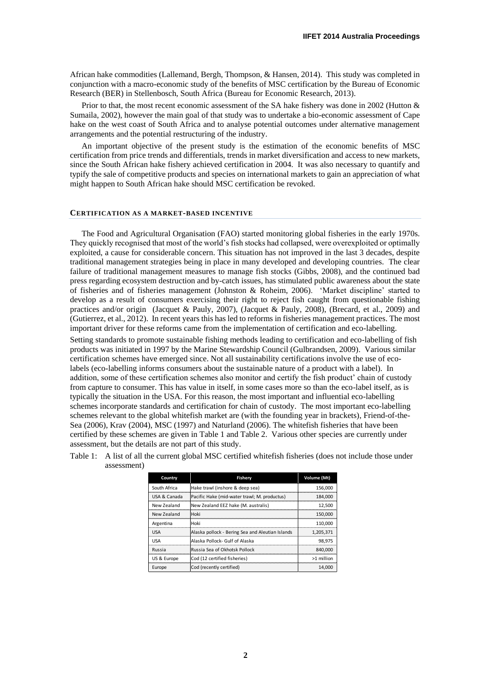African hake commodities (Lallemand, Bergh, Thompson, & Hansen, 2014). This study was completed in conjunction with a macro-economic study of the benefits of MSC certification by the Bureau of Economic Research (BER) in Stellenbosch, South Africa (Bureau for Economic Research, 2013).

Prior to that, the most recent economic assessment of the SA hake fishery was done in 2002 (Hutton & Sumaila, 2002), however the main goal of that study was to undertake a bio-economic assessment of Cape hake on the west coast of South Africa and to analyse potential outcomes under alternative management arrangements and the potential restructuring of the industry.

An important objective of the present study is the estimation of the economic benefits of MSC certification from price trends and differentials, trends in market diversification and access to new markets, since the South African hake fishery achieved certification in 2004. It was also necessary to quantify and typify the sale of competitive products and species on international markets to gain an appreciation of what might happen to South African hake should MSC certification be revoked.

### **CERTIFICATION AS A MARKET-BASED INCENTIVE**

The Food and Agricultural Organisation (FAO) started monitoring global fisheries in the early 1970s. They quickly recognised that most of the world's fish stocks had collapsed, were overexploited or optimally exploited, a cause for considerable concern. This situation has not improved in the last 3 decades, despite traditional management strategies being in place in many developed and developing countries. The clear failure of traditional management measures to manage fish stocks (Gibbs, 2008), and the continued bad press regarding ecosystem destruction and by-catch issues, has stimulated public awareness about the state of fisheries and of fisheries management (Johnston & Roheim, 2006). 'Market discipline' started to develop as a result of consumers exercising their right to reject fish caught from questionable fishing practices and/or origin (Jacquet & Pauly, 2007), (Jacquet & Pauly, 2008), (Brecard, et al., 2009) and (Gutierrez, et al., 2012). In recent years this has led to reforms in fisheries management practices. The most important driver for these reforms came from the implementation of certification and eco-labelling.

Setting standards to promote sustainable fishing methods leading to certification and eco-labelling of fish products was initiated in 1997 by the Marine Stewardship Council (Gulbrandsen, 2009). Various similar certification schemes have emerged since. Not all sustainability certifications involve the use of ecolabels (eco-labelling informs consumers about the sustainable nature of a product with a label). In addition, some of these certification schemes also monitor and certify the fish product' chain of custody from capture to consumer. This has value in itself, in some cases more so than the eco-label itself, as is typically the situation in the USA. For this reason, the most important and influential eco-labelling schemes incorporate standards and certification for chain of custody. The most important eco-labelling schemes relevant to the global whitefish market are (with the founding year in brackets), Friend-of-the-Sea (2006), Krav (2004), MSC (1997) and Naturland (2006). The whitefish fisheries that have been certified by these schemes are given in [Table 1](#page-1-0) and [Table 2.](#page-2-0) Various other species are currently under assessment, but the details are not part of this study.

| Country      | Fishery                                          | Volume (Mt) |
|--------------|--------------------------------------------------|-------------|
| South Africa | Hake trawl (inshore & deep sea)                  | 156,000     |
| USA & Canada | Pacific Hake (mid-water trawl; M. productus)     | 184.000     |
| New Zealand  | New Zealand EEZ hake (M. australis)              | 12.500      |
| New Zealand  | <b>Hoki</b>                                      | 150,000     |
| Argentina    | Hoki                                             | 110.000     |
| <b>USA</b>   | Alaska pollock - Bering Sea and Aleutian Islands | 1.205.371   |
| <b>USA</b>   | Alaska Pollock- Gulf of Alaska                   | 98,975      |
| Russia       | Russia Sea of Okhotsk Pollock                    | 840,000     |
| US & Europe  | Cod (12 certified fisheries)                     | >1 million  |
| Europe       | Cod (recently certified)                         | 14.000      |

<span id="page-1-0"></span>Table 1: A list of all the current global MSC certified whitefish fisheries (does not include those under assessment)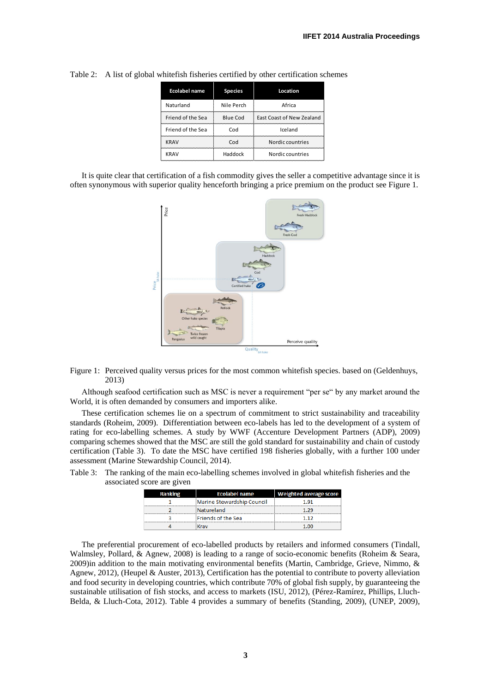| <b>Ecolabel name</b> | <b>Species</b>  | Location                  |
|----------------------|-----------------|---------------------------|
| Naturland            | Nile Perch      | Africa                    |
| Friend of the Sea    | <b>Blue Cod</b> | East Coast of New Zealand |
| Friend of the Sea    | Cod             | Iceland                   |
| <b>KRAV</b>          | Cod             | Nordic countries          |
| KRAV                 | Haddock         | Nordic countries          |

<span id="page-2-0"></span>Table 2: A list of global whitefish fisheries certified by other certification schemes

It is quite clear that certification of a fish commodity gives the seller a competitive advantage since it is often synonymous with superior quality henceforth bringing a price premium on the product see [Figure 1.](#page-2-1)



<span id="page-2-1"></span>Figure 1: Perceived quality versus prices for the most common whitefish species. based on (Geldenhuys, 2013)

Although seafood certification such as MSC is never a requirement "per se" by any market around the World, it is often demanded by consumers and importers alike.

These certification schemes lie on a spectrum of commitment to strict sustainability and traceability standards (Roheim, 2009). Differentiation between eco-labels has led to the development of a system of rating for eco-labelling schemes. A study by WWF (Accenture Development Partners (ADP), 2009) comparing schemes showed that the MSC are still the gold standard for sustainability and chain of custody certification [\(Table 3\)](#page-2-2). To date the MSC have certified 198 fisheries globally, with a further 100 under assessment (Marine Stewardship Council, 2014).

<span id="page-2-2"></span>Table 3: The ranking of the main eco-labelling schemes involved in global whitefish fisheries and the associated score are given

| <b>Ranking</b> | <b>Ecolabel name</b>       | <b>Weighted average score</b> |
|----------------|----------------------------|-------------------------------|
|                | Marine Stewardship Council | -91                           |
|                | Natureland                 | 1.29                          |
|                | Friends of the Sea         | 117                           |
|                |                            |                               |

The preferential procurement of eco-labelled products by retailers and informed consumers (Tindall, Walmsley, Pollard, & Agnew, 2008) is leading to a range of socio-economic benefits (Roheim & Seara, 2009)in addition to the main motivating environmental benefits (Martin, Cambridge, Grieve, Nimmo, & Agnew, 2012), (Heupel & Auster, 2013), Certification has the potential to contribute to poverty alleviation and food security in developing countries, which contribute 70% of global fish supply, by guaranteeing the sustainable utilisation of fish stocks, and access to markets (ISU, 2012), (Pérez-Ramírez, Phillips, Lluch-Belda, & Lluch-Cota, 2012). [Table 4](#page-3-0) provides a summary of benefits (Standing, 2009), (UNEP, 2009),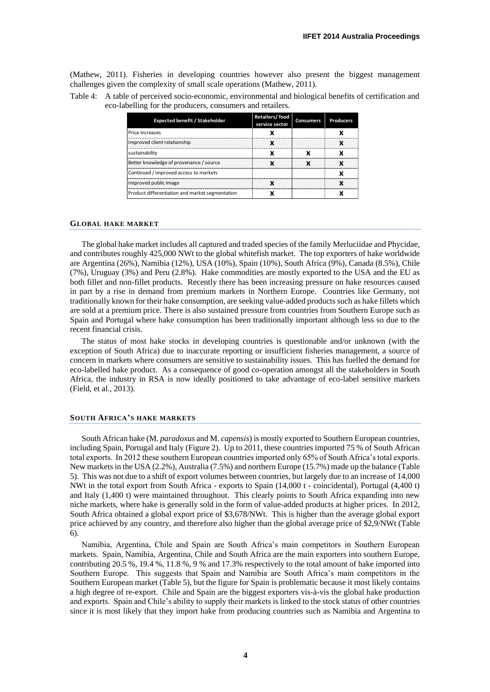(Mathew, 2011). Fisheries in developing countries however also present the biggest management challenges given the complexity of small scale operations (Mathew, 2011).

<span id="page-3-0"></span>

| Table 4: A table of perceived socio-economic, environmental and biological benefits of certification and |
|----------------------------------------------------------------------------------------------------------|
| eco-labelling for the producers, consumers and retailers.                                                |

| <b>Expected benefit / Stakeholder</b>           | Retailers/food<br>service sector | <b>Consumers</b> | <b>Producers</b> |
|-------------------------------------------------|----------------------------------|------------------|------------------|
| <b>Price increases</b>                          |                                  |                  |                  |
| Improved client relationship                    |                                  |                  |                  |
| Isustainability                                 |                                  |                  |                  |
| Better knowledge of provenance / source         |                                  |                  |                  |
| Continued / improved access to markets          |                                  |                  |                  |
| Improved public image                           |                                  |                  |                  |
| Product differentiation and market segmentation |                                  |                  |                  |

#### **GLOBAL HAKE MARKET**

The global hake market includes all captured and traded species of the family Merluciidae and Phycidae, and contributes roughly 425,000 NWt to the global whitefish market. The top exporters of hake worldwide are Argentina (26%), Namibia (12%), USA (10%), Spain (10%), South Africa (9%), Canada (8.5%), Chile (7%), Uruguay (3%) and Peru (2.8%). Hake commodities are mostly exported to the USA and the EU as both fillet and non-fillet products. Recently there has been increasing pressure on hake resources caused in part by a rise in demand from premium markets in Northern Europe. Countries like Germany, not traditionally known for their hake consumption, are seeking value-added products such as hake fillets which are sold at a premium price. There is also sustained pressure from countries from Southern Europe such as Spain and Portugal where hake consumption has been traditionally important although less so due to the recent financial crisis.

The status of most hake stocks in developing countries is questionable and/or unknown (with the exception of South Africa) due to inaccurate reporting or insufficient fisheries management, a source of concern in markets where consumers are sensitive to sustainability issues. This has fuelled the demand for eco-labelled hake product. As a consequence of good co-operation amongst all the stakeholders in South Africa, the industry in RSA is now ideally positioned to take advantage of eco-label sensitive markets (Field, et al., 2013).

### **SOUTH AFRICA'S HAKE MARKETS**

South African hake (M. *paradoxus* and M. *capensis*) is mostly exported to Southern European countries, including Spain, Portugal and Italy [\(Figure 2\)](#page-4-0). Up to 2011, these countries imported 75 % of South African total exports. In 2012 these southern European countries imported only 65% of South Africa's total exports. New markets in the USA (2.2%), Australia (7.5%) and northern Europe (15.7%) made up the balance [\(Table](#page-4-1)  [5\)](#page-4-1). This was not due to a shift of export volumes between countries, but largely due to an increase of 14,000 NWt in the total export from South Africa - exports to Spain (14,000 t - coincidental), Portugal (4,400 t) and Italy (1,400 t) were maintained throughout. This clearly points to South Africa expanding into new niche markets, where hake is generally sold in the form of value-added products at higher prices. In 2012, South Africa obtained a global export price of \$3,678/NWt. This is higher than the average global export price achieved by any country, and therefore also higher than the global average price of \$2,9/NWt [\(Table](#page-4-2)  [6\)](#page-4-2).

Namibia, Argentina, Chile and Spain are South Africa's main competitors in Southern European markets. Spain, Namibia, Argentina, Chile and South Africa are the main exporters into southern Europe, contributing 20.5 %, 19.4 %, 11.8 %, 9 % and 17.3% respectively to the total amount of hake imported into Southern Europe. This suggests that Spain and Namibia are South Africa's main competitors in the Southern European market [\(Table 5\)](#page-4-1), but the figure for Spain is problematic because it most likely contains a high degree of re-export. Chile and Spain are the biggest exporters vis-à-vis the global hake production and exports. Spain and Chile's ability to supply their markets is linked to the stock status of other countries since it is most likely that they import hake from producing countries such as Namibia and Argentina to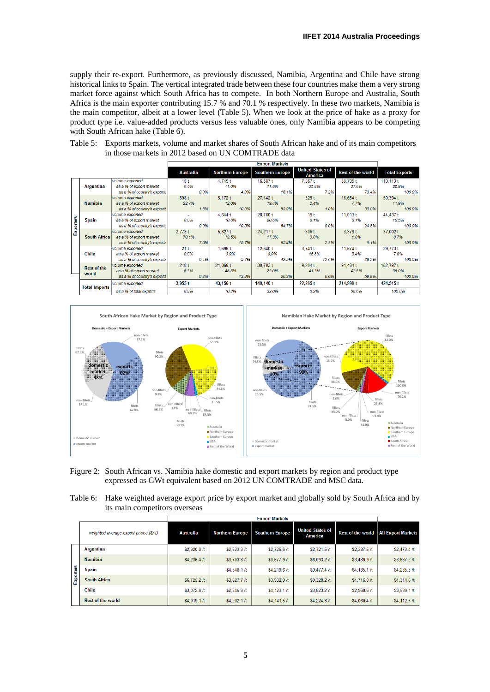supply their re-export. Furthermore, as previously discussed, Namibia, Argentina and Chile have strong historical links to Spain. The vertical integrated trade between these four countries make them a very strong market force against which South Africa has to compete. In both Northern Europe and Australia, South Africa is the main exporter contributing 15.7 % and 70.1 % respectively. In these two markets, Namibia is the main competitor, albeit at a lower level [\(Table 5\)](#page-4-1). When we look at the price of hake as a proxy for product type i.e. value-added products versus less valuable ones, only Namibia appears to be competing with South African hake [\(Table 6\)](#page-4-2).

<span id="page-4-1"></span>Table 5: Exports markets, volume and market shares of South African hake and of its main competitors in those markets in 2012 based on UN COMTRADE data

|           |                      |                             |                  |      |                        | <b>Export Markets</b>  |                                    |                          |                      |
|-----------|----------------------|-----------------------------|------------------|------|------------------------|------------------------|------------------------------------|--------------------------|----------------------|
|           |                      |                             | <b>Australia</b> |      | <b>Northern Europe</b> | <b>Southern Europe</b> | <b>United States of</b><br>America | <b>Rest of the world</b> | <b>Total Exports</b> |
|           |                      | volume exported             | 15t              |      | 4.749 t                | 16.587 t               | 7.967 t                            | 80.795 t                 | 110.113t             |
|           | <b>Argentina</b>     | as a % of export market     | 0.4%             |      | 11.0%                  | 118%                   | 35.8%                              | 37.6%                    | 25.9%                |
|           |                      | as a % of country's exports |                  | 0.0% | 4.3%                   | 15.1%                  | 7.2%                               | 73.4%                    | 100.0%               |
|           |                      | volume exported             | 898 t            |      | 5.172t                 | 27.142 t               | 529t                               | 16.654 t                 | 50.394 t             |
|           | <b>Namibia</b>       | as a % of export market     | 22.7%            |      | 12.0%                  | 19.4%                  | 2.4%                               | 7.7%                     | 11.9%                |
|           |                      | as a % of country's exports |                  | 1.8% | 10.3%                  | 53.9%                  | 1.0%                               | 33.0%                    | 100.0%               |
|           |                      | volume exported             |                  |      | 4.644 t                | 28,760 t               | 19 <sub>t</sub>                    | 11.013t                  | 44,437t              |
| Exporters | Spain                | as a % of export market     | 0.0%             |      | 10.8%                  | 20.5%                  | 0.1%                               | 5.1%                     | 10.5%                |
|           |                      | as a % of country's exports |                  | 0.0% | 10.5%                  | 64.7%                  | 0.0%                               | 24.8%                    | 100.0%               |
|           |                      | volume exported             | 2,773t           |      | 5.827t                 | 24,217 t               | 806 t                              | 3.379t                   | 37,002 t             |
|           | <b>South Africa</b>  | as a % of export market     | 70.1%            |      | 13.5%                  | 17.3%                  | 3.6%                               | 1.6%                     | 8.7%                 |
|           |                      | as a % of country's exports |                  | 7.5% | 15.7%                  | 65.4%                  | 2.2%                               | 9.1%                     | 100.0%               |
|           |                      | volume exported             | 21 t             |      | 1.696t                 | 12.640 t               | 3.741t                             | 11.674 t                 | 29.773 t             |
|           | <b>Chile</b>         | as a % of export market     | 0.5%             |      | 3.9%                   | 9.0%                   | 16.8%                              | 5.4%                     | 7.0%                 |
|           |                      | as a % of country's exports |                  | 0.1% | 5.7%                   | 42.5%                  | 12.6%                              | 39.2%                    | 100.0%               |
|           | <b>Rest of the</b>   | volume exported             | 248 t            |      | 21,068 t               | 30.793 t               | 9.204 t                            | 91,484 t                 | 152.797 t            |
|           | world                | as a % of export market     | 6.3%             |      | 48.8%                  | 22.0%                  | 41.3%                              | 42.6%                    | 36.0%                |
|           |                      | as a % of country's exports |                  | 0.2% | 13.8%                  | 20.2%                  | 6.0%                               | 59.9%                    | 100.0%               |
|           | <b>Total Imports</b> | volume exported             | 3.955t           |      | 43,156 t               | $140,140$ t            | 22.265t                            | 214,999 t                | 424,515 t            |
|           |                      | as a % of total exports     | 0.9%             |      | 10.2%                  | 33.0%                  | 5.2%                               | 50.6%                    | 100.0%               |



- <span id="page-4-0"></span>Figure 2: South African vs. Namibia hake domestic and export markets by region and product type expressed as GWt equivalent based on 2012 UN COMTRADE and MSC data.
- <span id="page-4-2"></span>Table 6: Hake weighted average export price by export market and globally sold by South Africa and by its main competitors overseas

|           |                                       |                  | <b>Export Markets</b>  |                        |                                    |                          |                           |  |  |  |  |  |
|-----------|---------------------------------------|------------------|------------------------|------------------------|------------------------------------|--------------------------|---------------------------|--|--|--|--|--|
|           | weighted average export prices (\$/t) | <b>Australia</b> | <b>Northern Europe</b> | <b>Southern Europe</b> | <b>United States of</b><br>America | <b>Rest of the world</b> | <b>All Export Markets</b> |  |  |  |  |  |
|           | <b>Argentina</b>                      | \$2,920.0 /t     | \$2,633.3/t            | \$2,726.6 /t           | \$2.721.5/t                        | \$2,387.5h               | \$2,473.4h                |  |  |  |  |  |
|           | <b>Namibia</b>                        | \$4,236.4 /t     | \$3.703.8 /t           | \$3.677.9 /t           | \$6,093.2/t                        | \$3.439.9/t              | \$3,637.2 /t              |  |  |  |  |  |
|           | <b>Spain</b>                          |                  | \$4,548.1h\$           | \$4,219.6 /t           | \$9,477.4 /t                       | \$4,135.1h\$             | \$4.235.3h                |  |  |  |  |  |
| Exporters | <b>South Africa</b>                   | \$6.725.2h\$     | \$3,827.7 $/t$         | $$3.932.9$ /t          | \$9,328.2h                         | \$4.716.0h               | \$4,314.6 /t              |  |  |  |  |  |
|           | <b>Chile</b>                          | \$3,072.8 /t     | \$2.546.9/t            | \$4.123.1/t            | \$3.823.2/t                        | \$2,960.6h               | \$3,539.1/t               |  |  |  |  |  |
|           | Rest of the world                     | \$4,919.1h\$     | \$4,202.1/t            | \$4,141.5h             | \$4.224.8/t                        | \$4,060.4h               | \$4,112.5h                |  |  |  |  |  |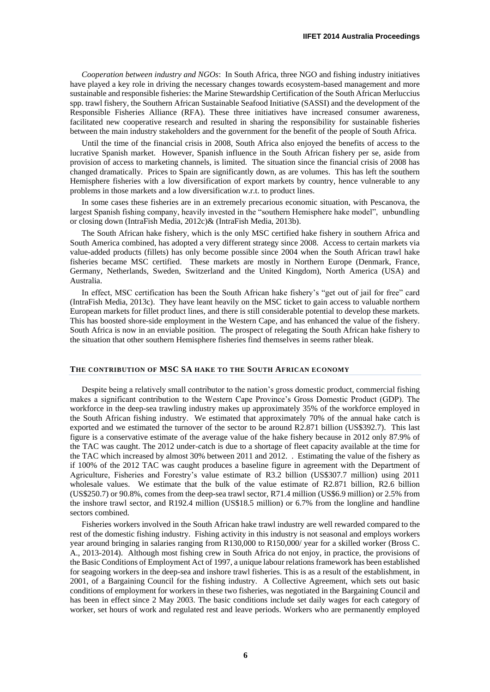*Cooperation between industry and NGOs*: In South Africa, three NGO and fishing industry initiatives have played a key role in driving the necessary changes towards ecosystem-based management and more sustainable and responsible fisheries: the Marine Stewardship Certification of the South African Merluccius spp. trawl fishery, the Southern African Sustainable Seafood Initiative (SASSI) and the development of the Responsible Fisheries Alliance (RFA). These three initiatives have increased consumer awareness, facilitated new cooperative research and resulted in sharing the responsibility for sustainable fisheries between the main industry stakeholders and the government for the benefit of the people of South Africa.

Until the time of the financial crisis in 2008, South Africa also enjoyed the benefits of access to the lucrative Spanish market. However, Spanish influence in the South African fishery per se, aside from provision of access to marketing channels, is limited. The situation since the financial crisis of 2008 has changed dramatically. Prices to Spain are significantly down, as are volumes. This has left the southern Hemisphere fisheries with a low diversification of export markets by country, hence vulnerable to any problems in those markets and a low diversification w.r.t. to product lines.

In some cases these fisheries are in an extremely precarious economic situation, with Pescanova, the largest Spanish fishing company, heavily invested in the "southern Hemisphere hake model", unbundling or closing down (IntraFish Media, 2012c)& (IntraFish Media, 2013b).

The South African hake fishery, which is the only MSC certified hake fishery in southern Africa and South America combined, has adopted a very different strategy since 2008. Access to certain markets via value-added products (fillets) has only become possible since 2004 when the South African trawl hake fisheries became MSC certified. These markets are mostly in Northern Europe (Denmark, France, Germany, Netherlands, Sweden, Switzerland and the United Kingdom), North America (USA) and Australia.

In effect, MSC certification has been the South African hake fishery's "get out of jail for free" card (IntraFish Media, 2013c). They have leant heavily on the MSC ticket to gain access to valuable northern European markets for fillet product lines, and there is still considerable potential to develop these markets. This has boosted shore-side employment in the Western Cape, and has enhanced the value of the fishery. South Africa is now in an enviable position. The prospect of relegating the South African hake fishery to the situation that other southern Hemisphere fisheries find themselves in seems rather bleak.

#### **THE CONTRIBUTION OF MSC SA HAKE TO THE SOUTH AFRICAN ECONOMY**

Despite being a relatively small contributor to the nation's gross domestic product, commercial fishing makes a significant contribution to the Western Cape Province's Gross Domestic Product (GDP). The workforce in the deep-sea trawling industry makes up approximately 35% of the workforce employed in the South African fishing industry. We estimated that approximately 70% of the annual hake catch is exported and we estimated the turnover of the sector to be around R2.871 billion (US\$392.7). This last figure is a conservative estimate of the average value of the hake fishery because in 2012 only 87.9% of the TAC was caught. The 2012 under-catch is due to a shortage of fleet capacity available at the time for the TAC which increased by almost 30% between 2011 and 2012. . Estimating the value of the fishery as if 100% of the 2012 TAC was caught produces a baseline figure in agreement with the Department of Agriculture, Fisheries and Forestry's value estimate of R3.2 billion (US\$307.7 million) using 2011 wholesale values. We estimate that the bulk of the value estimate of R2.871 billion, R2.6 billion (US\$250.7) or 90.8%, comes from the deep-sea trawl sector, R71.4 million (US\$6.9 million) or 2.5% from the inshore trawl sector, and R192.4 million (US\$18.5 million) or 6.7% from the longline and handline sectors combined.

Fisheries workers involved in the South African hake trawl industry are well rewarded compared to the rest of the domestic fishing industry. Fishing activity in this industry is not seasonal and employs workers year around bringing in salaries ranging from R130,000 to R150,000/ year for a skilled worker (Bross C. A., 2013-2014). Although most fishing crew in South Africa do not enjoy, in practice, the provisions of the Basic Conditions of Employment Act of 1997, a unique labour relations framework has been established for seagoing workers in the deep-sea and inshore trawl fisheries. This is as a result of the establishment, in 2001, of a Bargaining Council for the fishing industry. A Collective Agreement, which sets out basic conditions of employment for workers in these two fisheries, was negotiated in the Bargaining Council and has been in effect since 2 May 2003. The basic conditions include set daily wages for each category of worker, set hours of work and regulated rest and leave periods. Workers who are permanently employed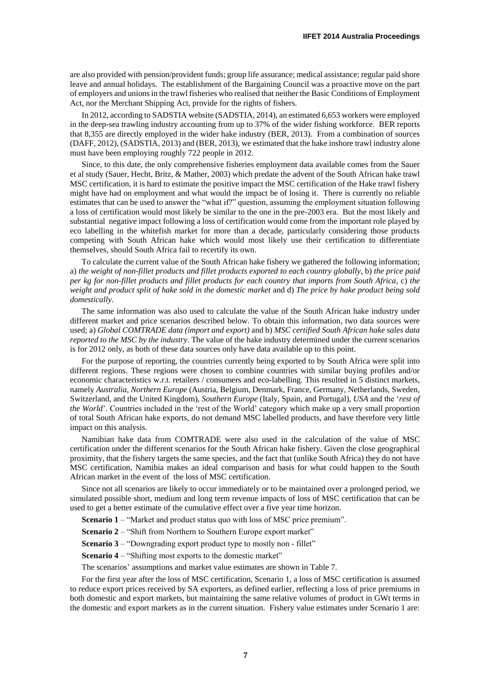are also provided with pension/provident funds; group life assurance; medical assistance; regular paid shore leave and annual holidays. The establishment of the Bargaining Council was a proactive move on the part of employers and unions in the trawl fisheries who realised that neither the Basic Conditions of Employment Act, nor the Merchant Shipping Act, provide for the rights of fishers.

In 2012, according to SADSTIA website (SADSTIA, 2014), an estimated 6,653 workers were employed in the deep-sea trawling industry accounting from up to 37% of the wider fishing workforce. BER reports that 8,355 are directly employed in the wider hake industry (BER, 2013). From a combination of sources (DAFF, 2012), (SADSTIA, 2013) and (BER, 2013), we estimated that the hake inshore trawl industry alone must have been employing roughly 722 people in 2012.

Since, to this date, the only comprehensive fisheries employment data available comes from the Sauer et al study (Sauer, Hecht, Britz, & Mather, 2003) which predate the advent of the South African hake trawl MSC certification, it is hard to estimate the positive impact the MSC certification of the Hake trawl fishery might have had on employment and what would the impact be of losing it. There is currently no reliable estimates that can be used to answer the "what if?" question, assuming the employment situation following a loss of certification would most likely be similar to the one in the pre-2003 era. But the most likely and substantial negative impact following a loss of certification would come from the important role played by eco labelling in the whitefish market for more than a decade, particularly considering those products competing with South African hake which would most likely use their certification to differentiate themselves, should South Africa fail to recertify its own.

To calculate the current value of the South African hake fishery we gathered the following information; a) *the weight of non-fillet products and fillet products exported to each country globally*, b) *the price paid per kg for non-fillet products and fillet products for each country that imports from South Africa*, c) *the weight and product split of hake sold in the domestic market* and d) *The price by hake product being sold domestically*.

The same information was also used to calculate the value of the South African hake industry under different market and price scenarios described below. To obtain this information, two data sources were used; a) *Global COMTRADE data (import and export)* and b) *MSC certified South African hake sales data reported to the MSC by the industry*. The value of the hake industry determined under the current scenarios is for 2012 only, as both of these data sources only have data available up to this point.

For the purpose of reporting, the countries currently being exported to by South Africa were split into different regions. These regions were chosen to combine countries with similar buying profiles and/or economic characteristics w.r.t. retailers / consumers and eco-labelling. This resulted in 5 distinct markets, namely *Australia*, *Northern Europe* (Austria, Belgium, Denmark, France, Germany, Netherlands, Sweden, Switzerland, and the United Kingdom), *Southern Europe* (Italy, Spain, and Portugal), *USA* and the '*rest of the World'*. Countries included in the 'rest of the World' category which make up a very small proportion of total South African hake exports, do not demand MSC labelled products, and have therefore very little impact on this analysis.

Namibian hake data from COMTRADE were also used in the calculation of the value of MSC certification under the different scenarios for the South African hake fishery. Given the close geographical proximity, that the fishery targets the same species, and the fact that (unlike South Africa) they do not have MSC certification, Namibia makes an ideal comparison and basis for what could happen to the South African market in the event of the loss of MSC certification.

Since not all scenarios are likely to occur immediately or to be maintained over a prolonged period, we simulated possible short, medium and long term revenue impacts of loss of MSC certification that can be used to get a better estimate of the cumulative effect over a five year time horizon.

**Scenario 1** – "Market and product status quo with loss of MSC price premium".

**Scenario 2** – "Shift from Northern to Southern Europe export market"

**Scenario 3** – "Downgrading export product type to mostly non - fillet"

**Scenario 4** – "Shifting most exports to the domestic market"

The scenarios' assumptions and market value estimates are shown in [Table 7.](#page-7-0)

For the first year after the loss of MSC certification, Scenario 1, a loss of MSC certification is assumed to reduce export prices received by SA exporters, as defined earlier, reflecting a loss of price premiums in both domestic and export markets, but maintaining the same relative volumes of product in GWt terms in the domestic and export markets as in the current situation. Fishery value estimates under Scenario 1 are: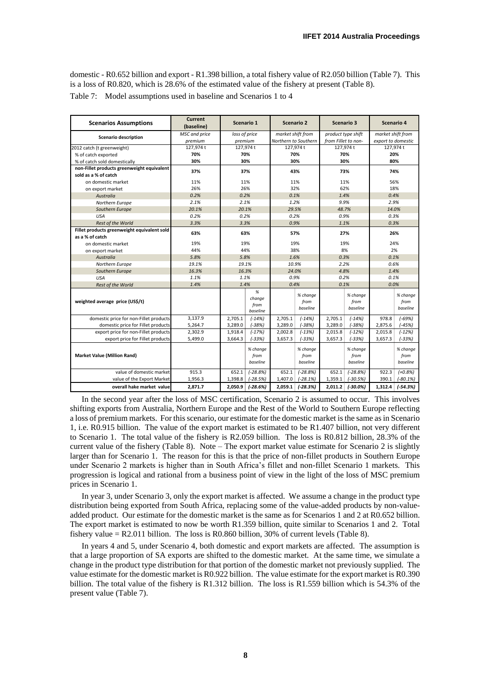<span id="page-7-0"></span>domestic - R0.652 billion and export - R1.398 billion, a total fishery value of R2.050 billion [\(Table 7\)](#page-7-0). This is a loss of R0.820, which is 28.6% of the estimated value of the fishery at present [\(Table 8\)](#page-8-0). Table 7: Model assumptions used in baseline and Scenarios 1 to 4

| <b>Scenarios Assumptions</b>                | <b>Current</b><br>(baseline) |               | Scenario 1                         |                   | Scenario 2                   |                     | <b>Scenario 3</b>            |                    | Scenario 4                   |  |  |
|---------------------------------------------|------------------------------|---------------|------------------------------------|-------------------|------------------------------|---------------------|------------------------------|--------------------|------------------------------|--|--|
| <b>Scenario description</b>                 | MSC and price                | loss of price |                                    | market shift from |                              |                     | product type shift           | market shift from  |                              |  |  |
|                                             | premium                      |               | premium                            |                   | Northern to Southern         | from Fillet to non- |                              | export to domestic |                              |  |  |
| 2012 catch (t greenweight)                  | 127,974 t                    |               | 127,974 t                          |                   | 127,974 t                    |                     | 127,974 t                    | 127,974t           |                              |  |  |
| % of catch exported                         | 70%                          |               | 70%                                |                   | 70%                          |                     | 70%                          |                    | 20%                          |  |  |
| % of catch sold domestically                | 30%                          |               | 30%                                |                   | 30%                          |                     | 30%                          |                    | 80%                          |  |  |
| non-Fillet products greenweight equivalent  | 37%                          |               | 37%                                |                   | 43%                          |                     | 73%                          |                    |                              |  |  |
| sold as a % of catch                        |                              |               |                                    |                   |                              |                     |                              |                    | 74%                          |  |  |
| on domestic market                          | 11%                          |               | 11%                                |                   | 11%                          |                     | 11%                          |                    | 56%                          |  |  |
| on export market                            | 26%                          |               | 26%                                |                   | 32%                          |                     | 62%                          |                    | 18%                          |  |  |
| Australia                                   | 0.2%                         |               | 0.2%                               |                   | 0.1%                         |                     | 1.4%                         | 0.4%               |                              |  |  |
| Northern Europe                             | 2.1%                         |               | 2.1%                               |                   | 1.2%                         |                     | 9.9%                         | 2.9%               |                              |  |  |
| Southern Europe                             | 20.1%                        |               | 20.1%                              |                   | 29.5%                        |                     | 48.7%                        | 14.0%              |                              |  |  |
| <b>USA</b>                                  | 0.2%                         |               | 0.2%                               |                   | 0.2%                         |                     | 0.9%                         | 0.3%               |                              |  |  |
| Rest of the World                           | 3.3%                         |               | 3.3%                               |                   | 0.9%                         |                     | 1.1%                         | 0.3%               |                              |  |  |
| Fillet products greenweight equivalent sold | 63%                          | 63%           |                                    |                   | 57%                          |                     | 27%                          | 26%                |                              |  |  |
| as a % of catch                             |                              |               |                                    |                   |                              |                     |                              |                    |                              |  |  |
| on domestic market                          | 19%                          | 19%           |                                    | 19%               |                              | 19%                 |                              | 24%                |                              |  |  |
| on export market                            | 44%                          | 44%           |                                    | 38%               |                              | 8%                  |                              | 2%                 |                              |  |  |
| Australia                                   | 5.8%                         |               | 5.8%                               | 1.6%              |                              | 0.3%                |                              | 0.1%               |                              |  |  |
| Northern Europe                             | 19.1%                        |               | 19.1%                              | 10.9%             |                              | 2.2%                |                              | 0.6%               |                              |  |  |
| Southern Europe                             | 16.3%                        |               | 16.3%                              | 24.0%             |                              |                     | 4.8%                         | 1.4%               |                              |  |  |
| <b>USA</b>                                  | 1.1%                         | 1.1%          |                                    | 0.9%              |                              | 0.2%                |                              | 0.1%               |                              |  |  |
| Rest of the World                           | 1.4%                         |               | 1.4%                               |                   | 0.4%                         |                     | 0.1%                         | 0.0%               |                              |  |  |
| weighted average price (US\$/t)             |                              |               | $\%$<br>change<br>from<br>baseline |                   | % change<br>from<br>baseline |                     | % change<br>from<br>baseline |                    | % change<br>from<br>baseline |  |  |
| domestic price for non-Fillet products      | 3,137.9                      | 2,705.1       | $(-14%)$                           | 2,705.1           | $(-14%)$                     | 2,705.1             | $(-14%)$                     | 978.8              | $(-69%)$                     |  |  |
| domestic price for Fillet products          | 5,264.7                      | 3.289.0       | $(-38%)$                           | 3,289.0           | $(-38%)$                     | 3,289.0             | $(-38%)$                     | 2,875.6            | $(-45%)$                     |  |  |
| export price for non-Fillet products        | 2,302.9                      | 1,918.4       | $(-17%)$                           | 2,002.8           | $(-13%)$                     | 2,015.8             | $(-12%)$                     | 2,015.8            | $(-12%)$                     |  |  |
| export price for Fillet products            | 5,499.0                      | 3,664.3       | $(-33%)$                           | 3,657.3           | $(-33%)$                     | 3,657.3             | $(-33%)$                     | 3,657.3            | $(-33%)$                     |  |  |
| <b>Market Value (Million Rand)</b>          |                              |               | % change<br>from<br>baseline       |                   | % change<br>from<br>baseline |                     | % change<br>from<br>baseline |                    | % change<br>from<br>baseline |  |  |
| value of domestic market                    | 915.3                        | 652.1         | $(-28.8%)$                         | 652.1             | $(-28.8%)$                   | 652.1               | $(-28.8%)$                   | 922.3              | $(+0.8%)$                    |  |  |
| value of the Export Market                  | 1,956.3                      | 1,398.8       | $(-28.5%)$                         | 1,407.0           | $(-28.1%)$                   | 1,359.1             | $(-30.5%)$                   | 390.1              | $(-80.1%)$                   |  |  |
| overall hake market value                   | 2,871.7                      | 2,050.9       | $(-28.6%)$                         | 2,059.1           | $(-28.3%)$                   | 2,011.2             | $(-30.0%)$                   | 1,312.4            | $(-54.3%)$                   |  |  |

In the second year after the loss of MSC certification, Scenario 2 is assumed to occur. This involves shifting exports from Australia, Northern Europe and the Rest of the World to Southern Europe reflecting a loss of premium markets. For this scenario, our estimate for the domestic market is the same as in Scenario 1, i.e. R0.915 billion. The value of the export market is estimated to be R1.407 billion, not very different to Scenario 1. The total value of the fishery is R2.059 billion. The loss is R0.812 billion, 28.3% of the current value of the fishery [\(Table 8\)](#page-8-0). Note – The export market value estimate for Scenario 2 is slightly larger than for Scenario 1. The reason for this is that the price of non-fillet products in Southern Europe under Scenario 2 markets is higher than in South Africa's fillet and non-fillet Scenario 1 markets. This progression is logical and rational from a business point of view in the light of the loss of MSC premium prices in Scenario 1.

In year 3, under Scenario 3, only the export market is affected. We assume a change in the product type distribution being exported from South Africa, replacing some of the value-added products by non-valueadded product. Our estimate for the domestic market is the same as for Scenarios 1 and 2 at R0.652 billion. The export market is estimated to now be worth R1.359 billion, quite similar to Scenarios 1 and 2. Total fishery value  $=$  R2.011 billion. The loss is R0.860 billion, 30% of current levels [\(Table 8\)](#page-8-0).

In years 4 and 5, under Scenario 4, both domestic and export markets are affected. The assumption is that a large proportion of SA exports are shifted to the domestic market. At the same time, we simulate a change in the product type distribution for that portion of the domestic market not previously supplied. The value estimate for the domestic market is R0.922 billion. The value estimate for the export market is R0.390 billion. The total value of the fishery is R1.312 billion. The loss is R1.559 billion which is 54.3% of the present value [\(Table 7\)](#page-7-0).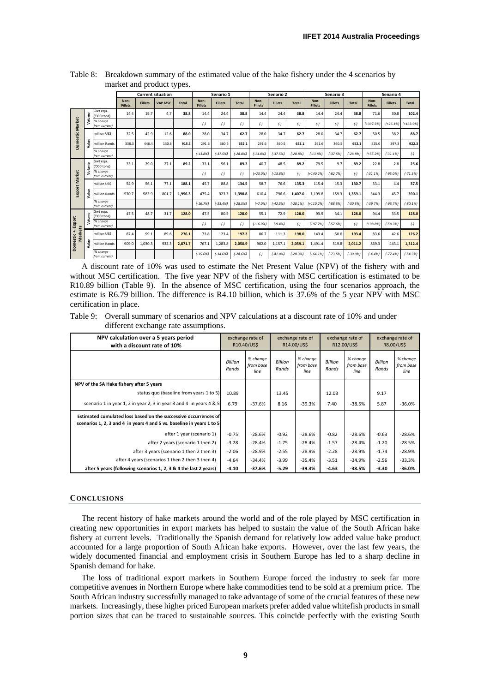|                      |        |                            |                        |                | <b>Current situation</b> |              | Senario 1              |                | Senario 2  |                        |                | Senario 3    |                        |                | Senario 4    |                        |                |              |
|----------------------|--------|----------------------------|------------------------|----------------|--------------------------|--------------|------------------------|----------------|------------|------------------------|----------------|--------------|------------------------|----------------|--------------|------------------------|----------------|--------------|
|                      |        |                            | Non-<br><b>Fillets</b> | <b>Fillets</b> | <b>VAP MSC</b>           | <b>Total</b> | Non-<br><b>Fillets</b> | <b>Fillets</b> | Total      | Non-<br><b>Fillets</b> | <b>Fillets</b> | <b>Total</b> | Non-<br><b>Fillets</b> | <b>Fillets</b> | <b>Total</b> | Non-<br><b>Fillets</b> | <b>Fillets</b> | <b>Total</b> |
|                      | Volume | Gwt egu.<br>'000 tons)     | 14.4                   | 19.7           | 4.7                      | 38.8         | 14.4                   | 24.4           | 38.8       | 14.4                   | 24.4           | 38.8         | 14.4                   | 24.4           | 38.8         | 71.6                   | 30.8           | 102.4        |
| Domestic Market      |        | (% change<br>from current) |                        |                |                          |              | $(-)$                  | $(-)$          | $(-)$      | $(-)$                  | $(-)$          | $(-)$        | $(-)$                  | $(-)$          | $(-)$        | $(+397.5%)$            | $(+26.1%)$     | $(+163.9%)$  |
|                      |        | million USS                | 32.5                   | 42.9           | 12.6                     | 88.0         | 28.0                   | 34.7           | 62.7       | 28.0                   | 34.7           | 62.7         | 28.0                   | 34.7           | 62.7         | 50.5                   | 38.2           | 88.7         |
|                      | Value  | million Rands              | 338.3                  | 446.4          | 130.6                    | 915.3        | 291.6                  | 360.5          | 652.1      | 291.6                  | 360.5          | 652.1        | 291.6                  | 360.5          | 652.1        | 525.0                  | 397.3          | 922.3        |
|                      |        | /% change<br>from current) |                        |                |                          |              | $(-13.8%$              | $(-37.5%$      | $(-28.8%)$ | $(-13.8%$              | $(-37.5%$      | $-28.8%$     | $(-13.8%$              | $(-37.5%$      | $(-28.8%)$   | $(+55.2%)$             | $(-31.1%)$     | $(-)$        |
|                      | Volume | Gwt eau.<br>'000 tons)     | 33.1                   | 29.0           | 27.1                     | 89.2         | 33.1                   | 56.1           | 89.2       | 40.7                   | 48.5           | 89.2         | 79.5                   | 9.7            | 89.2         | 22.8                   | 2.8            | 25.6         |
|                      |        | (% change<br>from current) |                        |                |                          |              | $(-)$                  | $(-)$          | $(-)$      | $(+23.0%$              | $(-13.6%)$     | $(-)$        | $(+140.2%$             | $(-82.7%)$     | $(-)$        | $(-31.1%$              | $(-95.0%$      | $(-71.3%)$   |
| <b>Export Market</b> |        | million USS                | 54.9                   | 56.1           | 77.1                     | 188.1        | 45.7                   | 88.8           | 134.5      | 58.7                   | 76.6           | 135.3        | 115.4                  | 15.3           | 130.7        | 33.1                   | 4.4            | 37.5         |
|                      | Value  | million Rands              | 570.7                  | 583.9          | 801.7                    | 1.956.3      | 475.4                  | 923.3          | 1.398.8    | 610.4                  | 796.6          | 1,407.0      | 1,199.8                | 159.3          | 1,359.1      | 344.3                  | 45.7           | 390.1        |
|                      |        | (% change<br>from current) |                        |                |                          |              | $(-16, 7%)$            | $(-33.4%$      | $(-28.5%)$ | $(+7.0%$               | $(-42.5%)$     | $(-28.1%)$   | $(+110.2%)$            | $(-88.5%)$     | $(-30.5%)$   | $(-39.7%)$             | $(-96.7%)$     | $(-80.1%)$   |
|                      | Volume | Gwt eau.<br>'000 tons)     | 47.5                   | 48.7           | 31.7                     | 128.0        | 47.5                   | 80.5           | 128.0      | 55.1                   | 72.9           | 128.0        | 93.9                   | 34.1           | 128.0        | 94.4                   | 33.5           | 128.0        |
| Export               |        | /% change<br>from current) |                        |                |                          |              | $(-)$                  | $(-)$          | $(-)$      | $(+16.0%)$             | $(-9.4%$       | $(-)$        | $(+97.7%)$             | $(-57.6%)$     | $(-)$        | $(+98.8%)$             | $(-58.3%)$     | $(-)$        |
| Markets              |        | million USS                | 87.4                   | 99.1           | 89.6                     | 276.1        | 73.8                   | 123.4          | 197.2      | 86.7                   | 111.3          | 198.0        | 143.4                  | 50.0           | 193.4        | 83.6                   | 42.6           | 126.2        |
| Domestic +           | Value  | million Rands              | 909.0                  | 1.030.3        | 932.3                    | 2.871.7      | 767.1                  | 1.283.8        | 2,050.9    | 902.0                  | 1,157.1        | 2,059.1      | 1,491.4                | 519.8          | 2.011.2      | 869.3                  | 443.1          | 1,312.4      |
|                      |        | (% change<br>from current) |                        |                |                          |              | $(-15.6%$              | $(-34.6%$      | $(-28.6%)$ | $(-)$                  | $(-41.0%$      | $(-28.3%$    | $(+64.1\%)$            | $(-73.5%$      | $(-30.0%$    | $(-4.4%$               | $(-77.4%$      | $(-54.3%)$   |

<span id="page-8-0"></span>Table 8: Breakdown summary of the estimated value of the hake fishery under the 4 scenarios by market and product types.

A discount rate of 10% was used to estimate the Net Present Value (NPV) of the fishery with and without MSC certification. The five year NPV of the fishery with MSC certification is estimated to be R10.89 billion [\(Table 9\)](#page-8-1). In the absence of MSC certification, using the four scenarios approach, the estimate is R6.79 billion. The difference is R4.10 billion, which is 37.6% of the 5 year NPV with MSC certification in place.

<span id="page-8-1"></span>Table 9: Overall summary of scenarios and NPV calculations at a discount rate of 10% and under different exchange rate assumptions.

| NPV calculation over a 5 years period<br>with a discount rate of 10%                                                                     |                         | exchange rate of<br>R10.40/US\$ |                         | exchange rate of<br>R14.00/US\$ |                         | exchange rate of<br>R12.00/US\$ | exchange rate of<br>R8.00/US\$ |                               |
|------------------------------------------------------------------------------------------------------------------------------------------|-------------------------|---------------------------------|-------------------------|---------------------------------|-------------------------|---------------------------------|--------------------------------|-------------------------------|
|                                                                                                                                          | <b>Billion</b><br>Rands | % change<br>from base<br>line   | <b>Billion</b><br>Rands | % change<br>from base<br>line   | <b>Billion</b><br>Rands | % change<br>from base<br>line   | <b>Billion</b><br>Rands        | % change<br>from base<br>line |
| NPV of the SA Hake fishery after 5 years                                                                                                 |                         |                                 |                         |                                 |                         |                                 |                                |                               |
| status quo (baseline from years 1 to 5)                                                                                                  | 10.89                   |                                 | 13.45                   |                                 | 12.03                   |                                 | 9.17                           |                               |
| scenario 1 in year 1, 2 in year 2, 3 in year 3 and 4 in years 4 & 5                                                                      | 6.79                    | $-37.6%$                        | 8.16                    | $-39.3%$                        | 7.40                    | $-38.5%$                        | 5.87                           | $-36.0%$                      |
| Estimated cumulated loss based on the successive occurrences of<br>scenarios 1, 2, 3 and 4 in years 4 and 5 vs. baseline in years 1 to 5 |                         |                                 |                         |                                 |                         |                                 |                                |                               |
| after 1 year (scenario 1)                                                                                                                | $-0.75$                 | $-28.6%$                        | $-0.92$                 | $-28.6%$                        | $-0.82$                 | $-28.6%$                        | $-0.63$                        | $-28.6%$                      |
| after 2 years (scenario 1 then 2)                                                                                                        | $-3.28$                 | $-28.4%$                        | $-1.75$                 | $-28.4%$                        | $-1.57$                 | $-28.4%$                        | $-1.20$                        | $-28.5%$                      |
| after 3 years (scenario 1 then 2 then 3)                                                                                                 | $-2.06$                 | $-28.9%$                        | $-2.55$                 | $-28.9%$                        | $-2.28$                 | $-28.9%$                        | $-1.74$                        | $-28.9%$                      |
| after 4 years (scenarios 1 then 2 then 3 then 4)                                                                                         | $-4.64$                 | $-34.4%$                        | $-3.99$                 | $-35.4%$                        | $-3.51$                 | $-34.9%$                        | $-2.56$                        | $-33.3%$                      |
| after 5 years (following scenarios 1, 2, 3 & 4 the last 2 years)                                                                         | $-4.10$                 | $-37.6%$                        | $-5.29$                 | $-39.3%$                        | $-4.63$                 | $-38.5%$                        | $-3.30$                        | $-36.0%$                      |

#### **CONCLUSIONS**

The recent history of hake markets around the world and of the role played by MSC certification in creating new opportunities in export markets has helped to sustain the value of the South African hake fishery at current levels. Traditionally the Spanish demand for relatively low added value hake product accounted for a large proportion of South African hake exports. However, over the last few years, the widely documented financial and employment crisis in Southern Europe has led to a sharp decline in Spanish demand for hake.

The loss of traditional export markets in Southern Europe forced the industry to seek far more competitive avenues in Northern Europe where hake commodities tend to be sold at a premium price. The South African industry successfully managed to take advantage of some of the crucial features of these new markets. Increasingly, these higher priced European markets prefer added value whitefish products in small portion sizes that can be traced to sustainable sources. This coincide perfectly with the existing South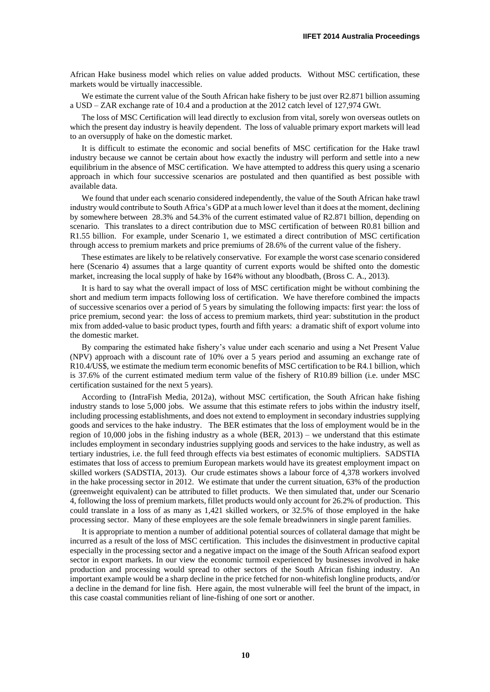African Hake business model which relies on value added products. Without MSC certification, these markets would be virtually inaccessible.

We estimate the current value of the South African hake fishery to be just over R2.871 billion assuming a USD – ZAR exchange rate of 10.4 and a production at the 2012 catch level of 127,974 GWt.

The loss of MSC Certification will lead directly to exclusion from vital, sorely won overseas outlets on which the present day industry is heavily dependent. The loss of valuable primary export markets will lead to an oversupply of hake on the domestic market.

It is difficult to estimate the economic and social benefits of MSC certification for the Hake trawl industry because we cannot be certain about how exactly the industry will perform and settle into a new equilibrium in the absence of MSC certification. We have attempted to address this query using a scenario approach in which four successive scenarios are postulated and then quantified as best possible with available data.

We found that under each scenario considered independently, the value of the South African hake trawl industry would contribute to South Africa's GDP at a much lower level than it does at the moment, declining by somewhere between 28.3% and 54.3% of the current estimated value of R2.871 billion, depending on scenario. This translates to a direct contribution due to MSC certification of between R0.81 billion and R1.55 billion. For example, under Scenario 1, we estimated a direct contribution of MSC certification through access to premium markets and price premiums of 28.6% of the current value of the fishery.

These estimates are likely to be relatively conservative. For example the worst case scenario considered here (Scenario 4) assumes that a large quantity of current exports would be shifted onto the domestic market, increasing the local supply of hake by 164% without any bloodbath, (Bross C. A., 2013).

It is hard to say what the overall impact of loss of MSC certification might be without combining the short and medium term impacts following loss of certification. We have therefore combined the impacts of successive scenarios over a period of 5 years by simulating the following impacts: first year: the loss of price premium, second year: the loss of access to premium markets, third year: substitution in the product mix from added-value to basic product types, fourth and fifth years: a dramatic shift of export volume into the domestic market.

By comparing the estimated hake fishery's value under each scenario and using a Net Present Value (NPV) approach with a discount rate of 10% over a 5 years period and assuming an exchange rate of R10.4/US\$, we estimate the medium term economic benefits of MSC certification to be R4.1 billion, which is 37.6% of the current estimated medium term value of the fishery of R10.89 billion (i.e. under MSC certification sustained for the next 5 years).

According to (IntraFish Media, 2012a), without MSC certification, the South African hake fishing industry stands to lose 5,000 jobs. We assume that this estimate refers to jobs within the industry itself, including processing establishments, and does not extend to employment in secondary industries supplying goods and services to the hake industry. The BER estimates that the loss of employment would be in the region of 10,000 jobs in the fishing industry as a whole (BER, 2013) – we understand that this estimate includes employment in secondary industries supplying goods and services to the hake industry, as well as tertiary industries, i.e. the full feed through effects via best estimates of economic multipliers. SADSTIA estimates that loss of access to premium European markets would have its greatest employment impact on skilled workers (SADSTIA, 2013). Our crude estimates shows a labour force of 4,378 workers involved in the hake processing sector in 2012. We estimate that under the current situation, 63% of the production (greenweight equivalent) can be attributed to fillet products. We then simulated that, under our Scenario 4, following the loss of premium markets, fillet products would only account for 26.2% of production. This could translate in a loss of as many as 1,421 skilled workers, or 32.5% of those employed in the hake processing sector. Many of these employees are the sole female breadwinners in single parent families.

It is appropriate to mention a number of additional potential sources of collateral damage that might be incurred as a result of the loss of MSC certification. This includes the disinvestment in productive capital especially in the processing sector and a negative impact on the image of the South African seafood export sector in export markets. In our view the economic turmoil experienced by businesses involved in hake production and processing would spread to other sectors of the South African fishing industry. An important example would be a sharp decline in the price fetched for non-whitefish longline products, and/or a decline in the demand for line fish. Here again, the most vulnerable will feel the brunt of the impact, in this case coastal communities reliant of line-fishing of one sort or another.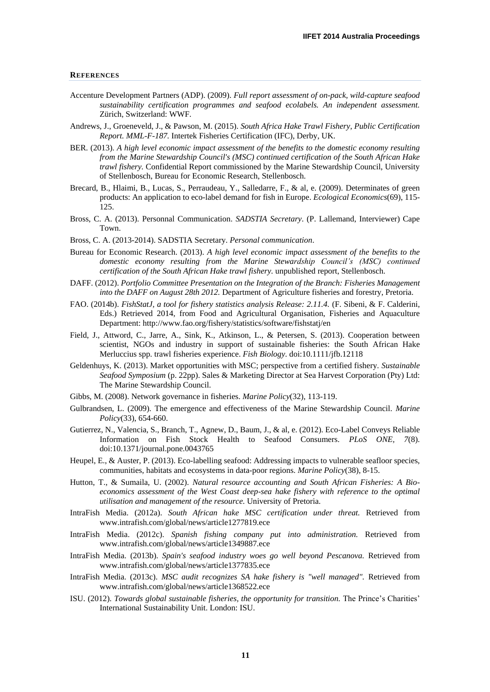#### **REFERENCES**

- Accenture Development Partners (ADP). (2009). *Full report assessment of on-pack, wild-capture seafood sustainability certification programmes and seafood ecolabels. An independent assessment.* Zürich, Switzerland: WWF.
- Andrews, J., Groeneveld, J., & Pawson, M. (2015). *South Africa Hake Trawl Fishery, Public Certification Report. MML-F-187.* Intertek Fisheries Certification (IFC), Derby, UK.
- BER. (2013). *A high level economic impact assessment of the benefits to the domestic economy resulting from the Marine Stewardship Council's (MSC) continued certification of the South African Hake trawl fishery.* Confidential Report commissioned by the Marine Stewardship Council, University of Stellenbosch, Bureau for Economic Research, Stellenbosch.
- Brecard, B., Hlaimi, B., Lucas, S., Perraudeau, Y., Salledarre, F., & al, e. (2009). Determinates of green products: An application to eco-label demand for fish in Europe. *Ecological Economics*(69), 115- 125.
- Bross, C. A. (2013). Personnal Communication. *SADSTIA Secretary*. (P. Lallemand, Interviewer) Cape Town.
- Bross, C. A. (2013-2014). SADSTIA Secretary. *Personal communication*.
- Bureau for Economic Research. (2013). *A high level economic impact assessment of the benefits to the domestic economy resulting from the Marine Stewardship Council's (MSC) continued certification of the South African Hake trawl fishery.* unpublished report, Stellenbosch.
- DAFF. (2012). *Portfolio Committee Presentation on the Integration of the Branch: Fisheries Management into the DAFF on August 28th 2012.* Department of Agriculture fisheries and forestry, Pretoria.
- FAO. (2014b). *FishStatJ, a tool for fishery statistics analysis Release: 2.11.4.* (F. Sibeni, & F. Calderini, Eds.) Retrieved 2014, from Food and Agricultural Organisation, Fisheries and Aquaculture Department: http://www.fao.org/fishery/statistics/software/fishstatj/en
- Field, J., Attword, C., Jarre, A., Sink, K., Atkinson, L., & Petersen, S. (2013). Cooperation between scientist, NGOs and industry in support of sustainable fisheries: the South African Hake Merluccius spp. trawl fisheries experience. *Fish Biology*. doi:10.1111/jfb.12118
- Geldenhuys, K. (2013). Market opportunities with MSC; perspective from a certified fishery. *Sustainable Seafood Symposium* (p. 22pp). Sales & Marketing Director at Sea Harvest Corporation (Pty) Ltd: The Marine Stewardship Council.
- Gibbs, M. (2008). Network governance in fisheries. *Marine Policy*(32), 113-119.
- Gulbrandsen, L. (2009). The emergence and effectiveness of the Marine Stewardship Council. *Marine Policy*(33), 654-660.
- Gutierrez, N., Valencia, S., Branch, T., Agnew, D., Baum, J., & al, e. (2012). Eco-Label Conveys Reliable Information on Fish Stock Health to Seafood Consumers. *PLoS ONE, 7*(8). doi:10.1371/journal.pone.0043765
- Heupel, E., & Auster, P. (2013). Eco-labelling seafood: Addressing impacts to vulnerable seafloor species, communities, habitats and ecosystems in data-poor regions. *Marine Policy*(38), 8-15.
- Hutton, T., & Sumaila, U. (2002). *Natural resource accounting and South African Fisheries: A Bioeconomics assessment of the West Coast deep-sea hake fishery with reference to the optimal utilisation and management of the resource.* University of Pretoria.
- IntraFish Media. (2012a). *South African hake MSC certification under threat.* Retrieved from www.intrafish.com/global/news/article1277819.ece
- IntraFish Media. (2012c). *Spanish fishing company put into administration.* Retrieved from www.intrafish.com/global/news/article1349887.ece
- IntraFish Media. (2013b). *Spain's seafood industry woes go well beyond Pescanova.* Retrieved from www.intrafish.com/global/news/article1377835.ece
- IntraFish Media. (2013c). *MSC audit recognizes SA hake fishery is "well managed".* Retrieved from www.intrafish.com/global/news/article1368522.ece
- ISU. (2012). *Towards global sustainable fisheries, the opportunity for transition.* The Prince's Charities' International Sustainability Unit. London: ISU.